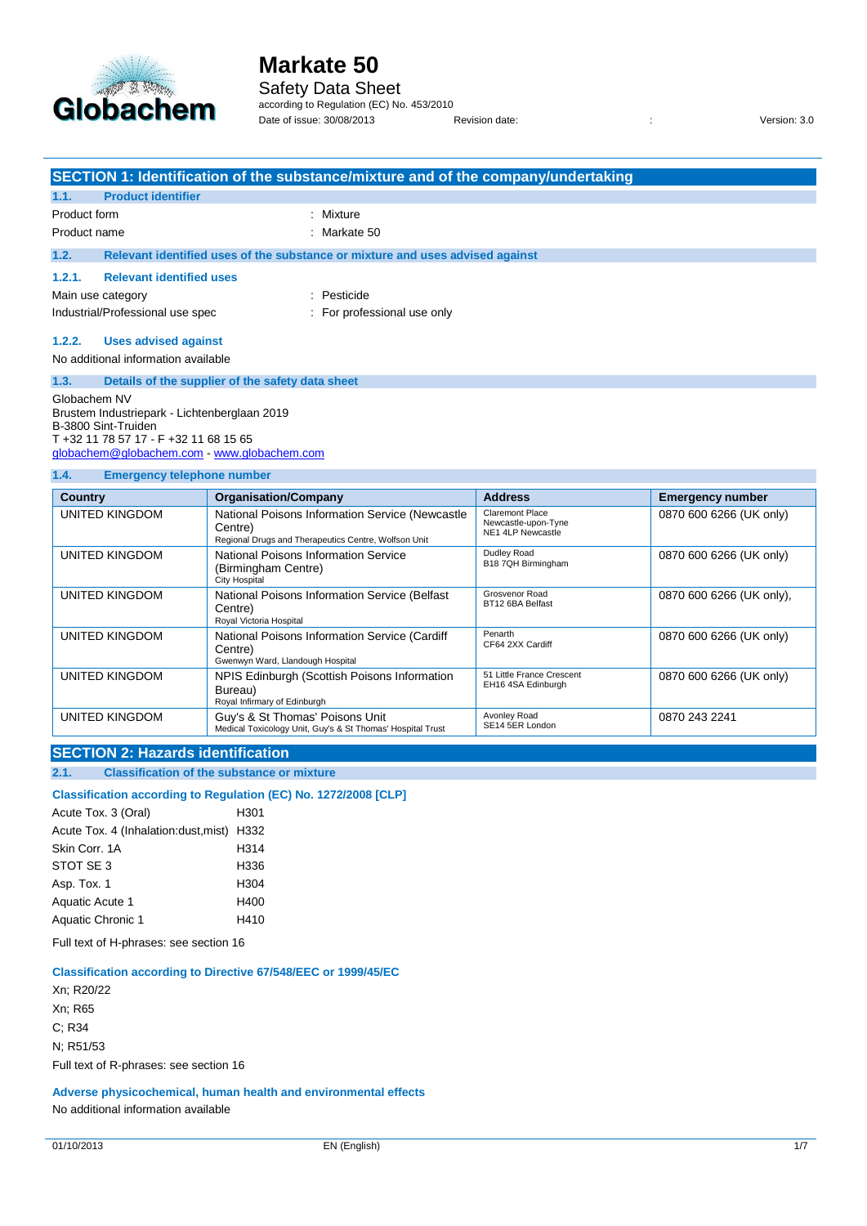

### Safety Data Sheet

according to Regulation (EC) No. 453/2010 Date of issue: 30/08/2013 Revision date: : Version: 3.0

| SECTION 1: Identification of the substance/mixture and of the company/undertaking                                                                           |                                                                                                                                        |                                                                                                                    |                                                                    |                          |  |
|-------------------------------------------------------------------------------------------------------------------------------------------------------------|----------------------------------------------------------------------------------------------------------------------------------------|--------------------------------------------------------------------------------------------------------------------|--------------------------------------------------------------------|--------------------------|--|
| 1.1.                                                                                                                                                        | <b>Product identifier</b>                                                                                                              |                                                                                                                    |                                                                    |                          |  |
| Product form                                                                                                                                                |                                                                                                                                        | Mixture                                                                                                            |                                                                    |                          |  |
| Product name                                                                                                                                                |                                                                                                                                        | Markate 50                                                                                                         |                                                                    |                          |  |
| 1.2.                                                                                                                                                        |                                                                                                                                        | Relevant identified uses of the substance or mixture and uses advised against                                      |                                                                    |                          |  |
| 1.2.1.                                                                                                                                                      | <b>Relevant identified uses</b>                                                                                                        |                                                                                                                    |                                                                    |                          |  |
| Main use category                                                                                                                                           |                                                                                                                                        | : Pesticide                                                                                                        |                                                                    |                          |  |
|                                                                                                                                                             | Industrial/Professional use spec                                                                                                       | For professional use only                                                                                          |                                                                    |                          |  |
| 1.2.2.<br>1.3.                                                                                                                                              | <b>Uses advised against</b><br>No additional information available<br>Details of the supplier of the safety data sheet<br>Globachem NV |                                                                                                                    |                                                                    |                          |  |
| Brustem Industriepark - Lichtenberglaan 2019<br>B-3800 Sint-Truiden<br>T +32 11 78 57 17 - F +32 11 68 15 65<br>globachem@globachem.com - www.globachem.com |                                                                                                                                        |                                                                                                                    |                                                                    |                          |  |
| 1.4.                                                                                                                                                        | <b>Emergency telephone number</b>                                                                                                      |                                                                                                                    |                                                                    |                          |  |
| <b>Country</b>                                                                                                                                              |                                                                                                                                        | <b>Organisation/Company</b>                                                                                        | <b>Address</b>                                                     | <b>Emergency number</b>  |  |
| <b>UNITED KINGDOM</b>                                                                                                                                       |                                                                                                                                        | National Poisons Information Service (Newcastle<br>Centre)<br>Regional Drugs and Therapeutics Centre, Wolfson Unit | <b>Claremont Place</b><br>Newcastle-upon-Tyne<br>NE1 4LP Newcastle | 0870 600 6266 (UK only)  |  |
| <b>UNITED KINGDOM</b><br>(Birmingham Centre)<br>City Hospital                                                                                               |                                                                                                                                        | National Poisons Information Service                                                                               | Dudley Road<br>B18 7QH Birmingham                                  | 0870 600 6266 (UK only)  |  |
| <b>UNITED KINGDOM</b>                                                                                                                                       |                                                                                                                                        | National Poisons Information Service (Belfast<br>Centre)<br>Royal Victoria Hospital                                | Grosvenor Road<br>BT12 6BA Belfast                                 | 0870 600 6266 (UK only), |  |
| <b>UNITED KINGDOM</b>                                                                                                                                       |                                                                                                                                        | National Poisons Information Service (Cardiff<br>Centre)<br>Gwenwyn Ward, Llandough Hospital                       | Penarth<br>CF64 2XX Cardiff                                        | 0870 600 6266 (UK only)  |  |

Bureau) Royal Infirmary of Edinburgh 51 Little France Crescent EH16 4SA Edinburgh UNITED KINGDOM Guy's & St Thomas' Poisons Unit<br>Medical Toxicology Unit, Guy's & St Thomas' Hospital Trust Avonley Road SE14 5ER London

### **SECTION 2: Hazards identification**

**2.1. Classification of the substance or mixture**

### **Classification according to Regulation (EC) No. 1272/2008 [CLP]**

UNITED KINGDOM NPIS Edinburgh (Scottish Poisons Information

Acute Tox. 3 (Oral) H301 Acute Tox. 4 (Inhalation:dust,mist) H332 Skin Corr. 1A H314 STOT SE 3 H336 Asp. Tox. 1 H304 Aquatic Acute 1 H400 Aquatic Chronic 1 H410

Full text of H-phrases: see section 16

#### **Classification according to Directive 67/548/EEC or 1999/45/EC**

Xn; R20/22 Xn; R65 C; R34 N; R51/53 Full text of R-phrases: see section 16

**Adverse physicochemical, human health and environmental effects** No additional information available

0870 600 6266 (UK only)

0870 243 2241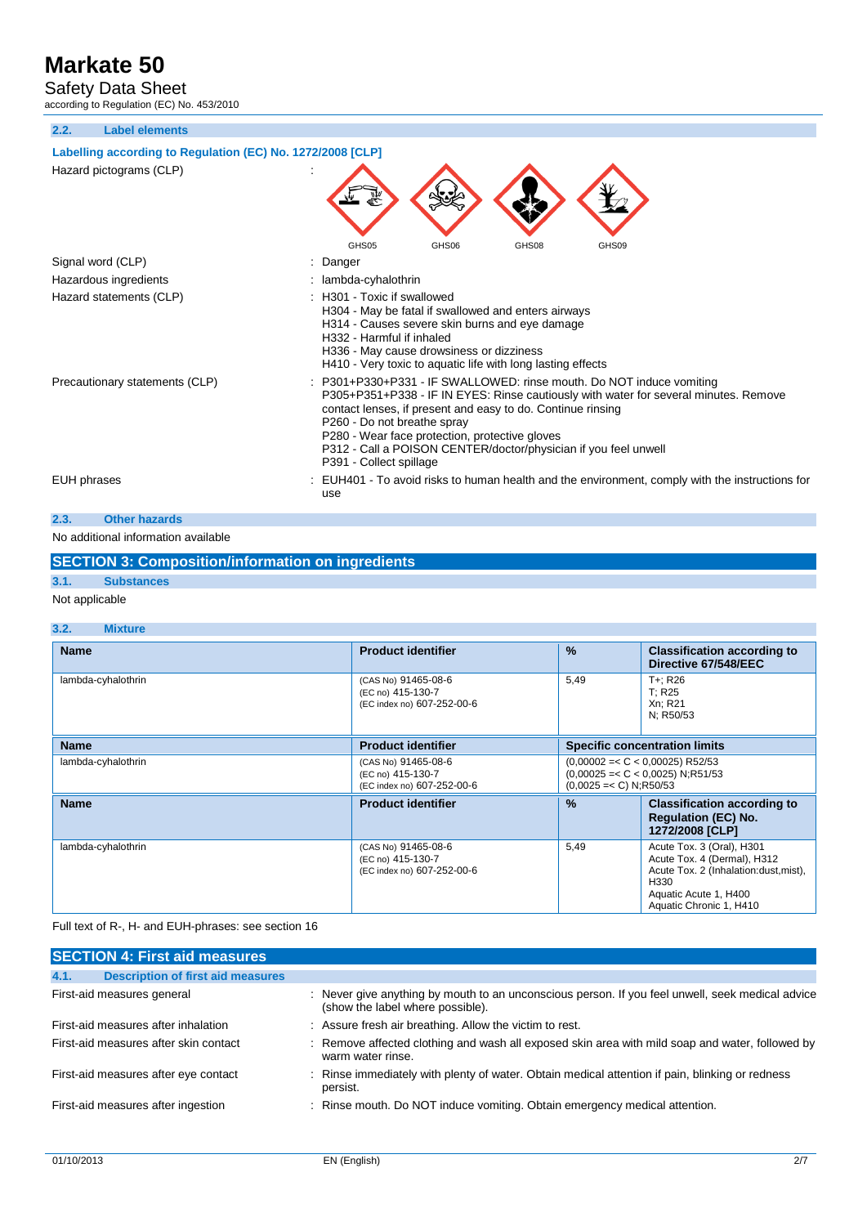Safety Data Sheet

according to Regulation (EC) No. 453/2010

**2.2. Label elements**



### **SECTION 3: Composition/information on ingredients**

# **3.1. Substances**

Not applicable

#### **3.2. Mixture**

| <b>Name</b>        | <b>Product identifier</b>                                              | %                                                                                                    | <b>Classification according to</b><br>Directive 67/548/EEC                                                                                                     |
|--------------------|------------------------------------------------------------------------|------------------------------------------------------------------------------------------------------|----------------------------------------------------------------------------------------------------------------------------------------------------------------|
| lambda-cyhalothrin | (CAS No) 91465-08-6<br>(EC no) 415-130-7<br>(EC index no) 607-252-00-6 | 5,49                                                                                                 | T+: R26<br>T; R25<br>Xn; R21<br>N; R50/53                                                                                                                      |
| <b>Name</b>        | <b>Product identifier</b>                                              | <b>Specific concentration limits</b>                                                                 |                                                                                                                                                                |
| lambda-cyhalothrin | (CAS No) 91465-08-6<br>(EC no) 415-130-7<br>(EC index no) 607-252-00-6 | $(0,00002=<$ C < 0,00025) R52/53<br>$(0,00025=<$ C < 0,0025) N;R51/53<br>$(0.0025 = < C) N$ ; R50/53 |                                                                                                                                                                |
| <b>Name</b>        | <b>Product identifier</b>                                              | $\frac{0}{0}$                                                                                        | <b>Classification according to</b><br><b>Regulation (EC) No.</b><br>1272/2008 [CLP]                                                                            |
| lambda-cyhalothrin | (CAS No) 91465-08-6<br>(EC no) 415-130-7<br>(EC index no) 607-252-00-6 | 5,49                                                                                                 | Acute Tox. 3 (Oral), H301<br>Acute Tox. 4 (Dermal), H312<br>Acute Tox. 2 (Inhalation: dust, mist),<br>H330<br>Aquatic Acute 1, H400<br>Aquatic Chronic 1, H410 |

#### Full text of R-, H- and EUH-phrases: see section 16

| <b>SECTION 4: First aid measures</b>             |                                                                                                                                      |
|--------------------------------------------------|--------------------------------------------------------------------------------------------------------------------------------------|
| 4.1.<br><b>Description of first aid measures</b> |                                                                                                                                      |
| First-aid measures general                       | : Never give anything by mouth to an unconscious person. If you feel unwell, seek medical advice<br>(show the label where possible). |
| First-aid measures after inhalation              | : Assure fresh air breathing. Allow the victim to rest.                                                                              |
| First-aid measures after skin contact            | : Remove affected clothing and wash all exposed skin area with mild soap and water, followed by<br>warm water rinse.                 |
| First-aid measures after eye contact             | : Rinse immediately with plenty of water. Obtain medical attention if pain, blinking or redness<br>persist.                          |
| First-aid measures after ingestion               | : Rinse mouth. Do NOT induce vomiting. Obtain emergency medical attention.                                                           |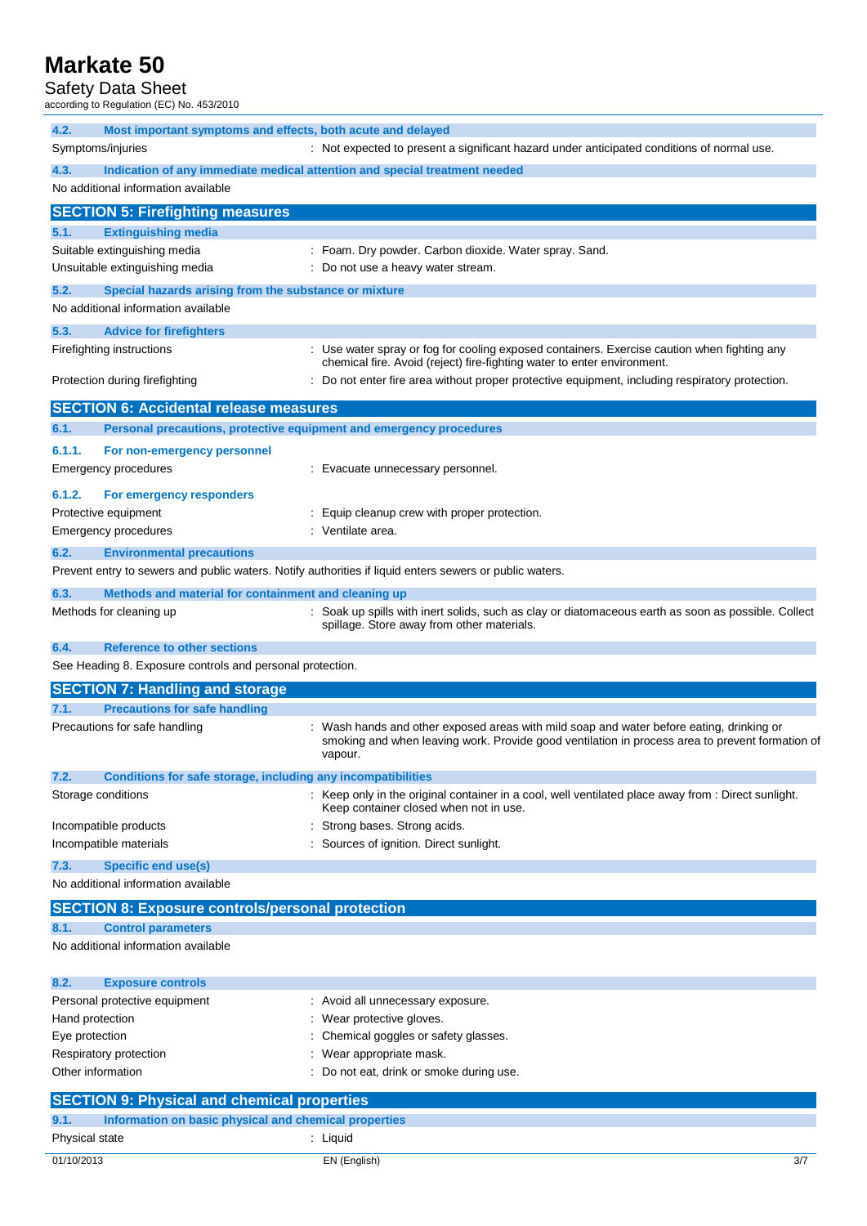## Safety Data Sheet

| Udiviy Dala Univul<br>according to Regulation (EC) No. 453/2010 |                                                                                                                                                                                                        |
|-----------------------------------------------------------------|--------------------------------------------------------------------------------------------------------------------------------------------------------------------------------------------------------|
| 4.2.                                                            | Most important symptoms and effects, both acute and delayed                                                                                                                                            |
| Symptoms/injuries                                               | : Not expected to present a significant hazard under anticipated conditions of normal use.                                                                                                             |
| 4.3.                                                            | Indication of any immediate medical attention and special treatment needed                                                                                                                             |
| No additional information available                             |                                                                                                                                                                                                        |
| <b>SECTION 5: Firefighting measures</b>                         |                                                                                                                                                                                                        |
| 5.1.<br><b>Extinguishing media</b>                              |                                                                                                                                                                                                        |
| Suitable extinguishing media                                    | : Foam. Dry powder. Carbon dioxide. Water spray. Sand.                                                                                                                                                 |
| Unsuitable extinguishing media                                  | : Do not use a heavy water stream.                                                                                                                                                                     |
| 5.2.                                                            | Special hazards arising from the substance or mixture                                                                                                                                                  |
| No additional information available                             |                                                                                                                                                                                                        |
| 5.3.<br><b>Advice for firefighters</b>                          |                                                                                                                                                                                                        |
| Firefighting instructions                                       | : Use water spray or fog for cooling exposed containers. Exercise caution when fighting any<br>chemical fire. Avoid (reject) fire-fighting water to enter environment.                                 |
| Protection during firefighting                                  | Do not enter fire area without proper protective equipment, including respiratory protection.                                                                                                          |
| <b>SECTION 6: Accidental release measures</b>                   |                                                                                                                                                                                                        |
| 6.1.                                                            | Personal precautions, protective equipment and emergency procedures                                                                                                                                    |
| 6.1.1.<br>For non-emergency personnel                           |                                                                                                                                                                                                        |
| <b>Emergency procedures</b>                                     | : Evacuate unnecessary personnel.                                                                                                                                                                      |
| 6.1.2.<br>For emergency responders                              |                                                                                                                                                                                                        |
| Protective equipment                                            | Equip cleanup crew with proper protection.                                                                                                                                                             |
| Emergency procedures                                            | : Ventilate area.                                                                                                                                                                                      |
| 6.2.<br><b>Environmental precautions</b>                        |                                                                                                                                                                                                        |
|                                                                 | Prevent entry to sewers and public waters. Notify authorities if liquid enters sewers or public waters.                                                                                                |
| 6.3.                                                            | Methods and material for containment and cleaning up                                                                                                                                                   |
| Methods for cleaning up                                         | : Soak up spills with inert solids, such as clay or diatomaceous earth as soon as possible. Collect<br>spillage. Store away from other materials.                                                      |
| 6.4.<br><b>Reference to other sections</b>                      |                                                                                                                                                                                                        |
| See Heading 8. Exposure controls and personal protection.       |                                                                                                                                                                                                        |
| <b>SECTION 7: Handling and storage</b>                          |                                                                                                                                                                                                        |
| 7.1.<br><b>Precautions for safe handling</b>                    |                                                                                                                                                                                                        |
| Precautions for safe handling                                   | : Wash hands and other exposed areas with mild soap and water before eating, drinking or<br>smoking and when leaving work. Provide good ventilation in process area to prevent formation of<br>vapour. |
| 7.2.                                                            | Conditions for safe storage, including any incompatibilities                                                                                                                                           |
| Storage conditions                                              | : Keep only in the original container in a cool, well ventilated place away from : Direct sunlight.<br>Keep container closed when not in use.                                                          |
| Incompatible products                                           | Strong bases. Strong acids.                                                                                                                                                                            |
| Incompatible materials                                          | Sources of ignition. Direct sunlight.                                                                                                                                                                  |
| 7.3.<br>Specific end use(s)                                     |                                                                                                                                                                                                        |
| No additional information available                             |                                                                                                                                                                                                        |
|                                                                 | <b>SECTION 8: Exposure controls/personal protection</b>                                                                                                                                                |
| 8.1.<br><b>Control parameters</b>                               |                                                                                                                                                                                                        |
| No additional information available                             |                                                                                                                                                                                                        |
| 8.2.<br><b>Exposure controls</b>                                |                                                                                                                                                                                                        |

| 0.2.<br><b>EXPOSURE CONTRAINS</b> |                                          |
|-----------------------------------|------------------------------------------|
| Personal protective equipment     | : Avoid all unnecessary exposure.        |
| Hand protection                   | Wear protective gloves.                  |
| Eye protection                    | : Chemical goggles or safety glasses.    |
| Respiratory protection            | Wear appropriate mask.                   |
| Other information                 | : Do not eat, drink or smoke during use. |
|                                   |                                          |

|                | <b>SECTION 9: Physical and chemical properties</b>    |
|----------------|-------------------------------------------------------|
| 9.1.           | Information on basic physical and chemical properties |
| Physical state | · Liauid                                              |
| 01/10/2013     | EN (English)                                          |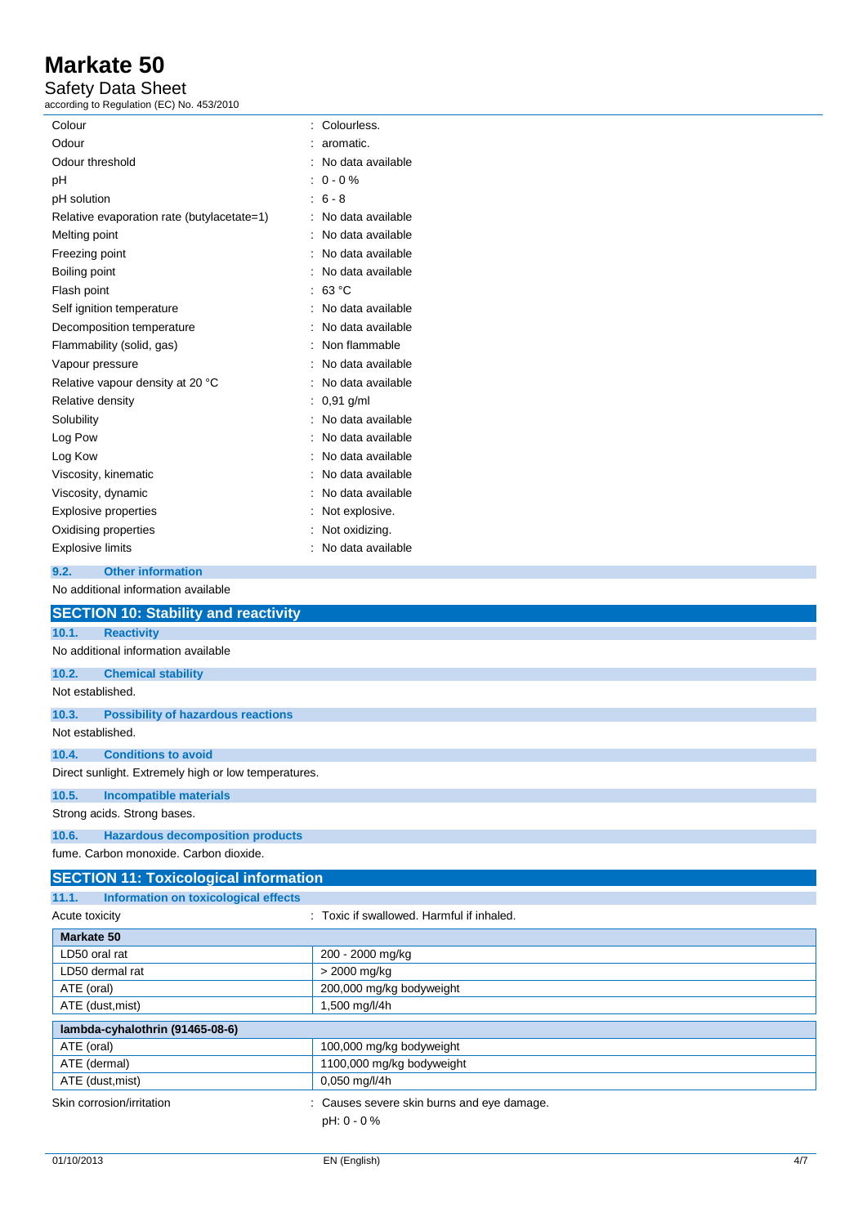### Safety Data Sheet

according to Regulation (EC) No. 453/2010

| Colour                                               | : Colourless.                              |
|------------------------------------------------------|--------------------------------------------|
| Odour                                                | aromatic.                                  |
| Odour threshold                                      | No data available                          |
| pH                                                   | $0 - 0 \%$                                 |
| pH solution                                          | $: 6 - 8$                                  |
| Relative evaporation rate (butylacetate=1)           | : No data available                        |
| Melting point                                        | No data available                          |
| Freezing point                                       | No data available<br>٠                     |
| Boiling point                                        | No data available                          |
| Flash point                                          | 63 °C                                      |
| Self ignition temperature                            | No data available                          |
| Decomposition temperature                            | No data available                          |
| Flammability (solid, gas)                            | Non flammable                              |
| Vapour pressure                                      | No data available                          |
| Relative vapour density at 20 °C                     | No data available                          |
| Relative density                                     | : 0,91 g/ml                                |
| Solubility                                           | No data available<br>۰                     |
| Log Pow                                              | No data available                          |
| Log Kow                                              | No data available                          |
| Viscosity, kinematic                                 | No data available                          |
| Viscosity, dynamic                                   | No data available                          |
| <b>Explosive properties</b>                          | Not explosive.                             |
| Oxidising properties                                 | Not oxidizing.                             |
| <b>Explosive limits</b>                              | : No data available                        |
| <b>Other information</b><br>9.2.                     |                                            |
| No additional information available                  |                                            |
|                                                      |                                            |
|                                                      |                                            |
| <b>SECTION 10: Stability and reactivity</b>          |                                            |
| 10.1.<br><b>Reactivity</b>                           |                                            |
| No additional information available                  |                                            |
| 10.2.<br><b>Chemical stability</b>                   |                                            |
| Not established.                                     |                                            |
| 10.3.<br><b>Possibility of hazardous reactions</b>   |                                            |
| Not established.                                     |                                            |
| 10.4.<br><b>Conditions to avoid</b>                  |                                            |
| Direct sunlight. Extremely high or low temperatures. |                                            |
| 10.5.<br><b>Incompatible materials</b>               |                                            |
| Strong acids. Strong bases.                          |                                            |
|                                                      |                                            |
| 10.6.<br><b>Hazardous decomposition products</b>     |                                            |
| fume. Carbon monoxide. Carbon dioxide.               |                                            |
| <b>SECTION 11: Toxicological information</b>         |                                            |
| Information on toxicological effects<br>11.1.        |                                            |
| Acute toxicity                                       | : Toxic if swallowed. Harmful if inhaled.  |
| <b>Markate 50</b>                                    |                                            |
| LD50 oral rat                                        | 200 - 2000 mg/kg                           |
| LD50 dermal rat                                      | > 2000 mg/kg                               |
| ATE (oral)                                           | 200,000 mg/kg bodyweight                   |
| ATE (dust, mist)                                     | 1,500 mg/l/4h                              |
| lambda-cyhalothrin (91465-08-6)                      |                                            |
| ATE (oral)                                           | 100,000 mg/kg bodyweight                   |
| ATE (dermal)<br>ATE (dust, mist)                     | 1100,000 mg/kg bodyweight<br>0,050 mg/l/4h |

pH: 0 - 0 %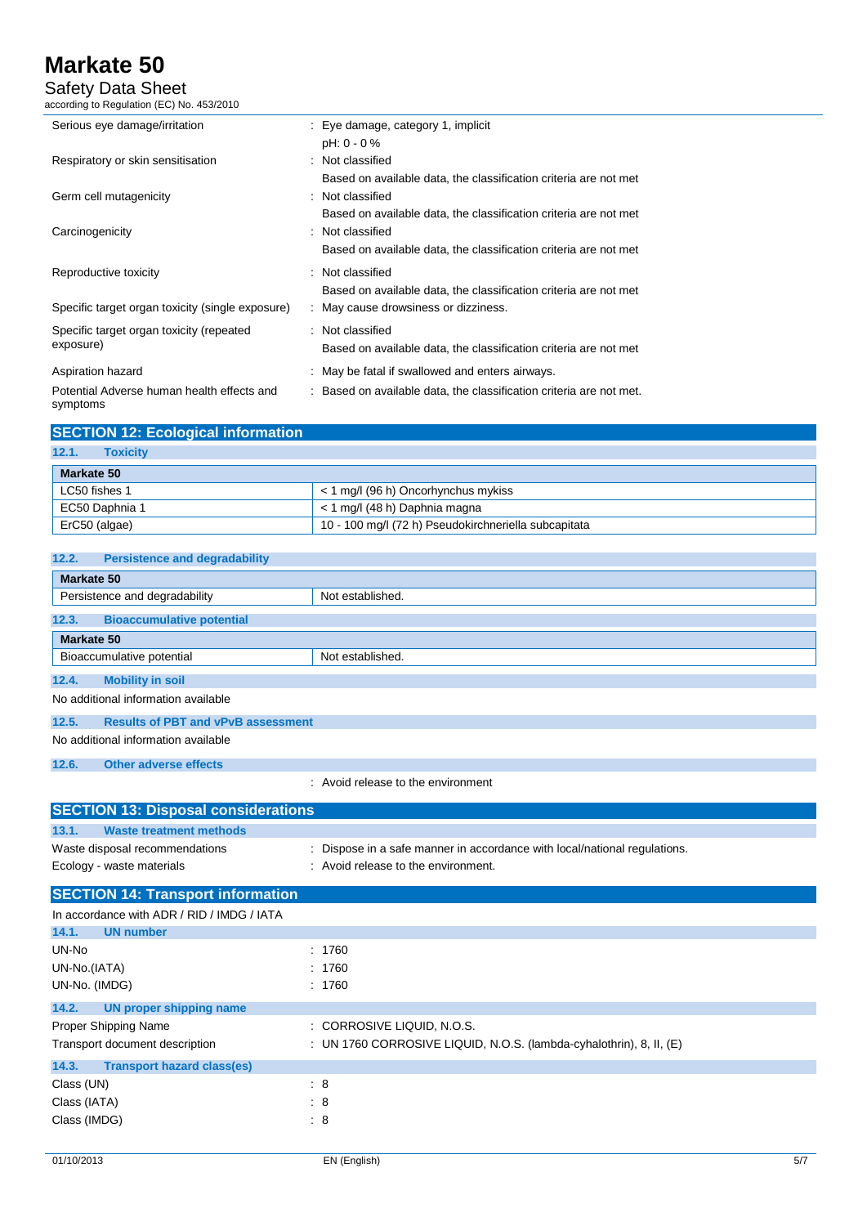Safety Data Sheet

according to Regulation (EC) No. 453/2010

| Serious eye damage/irritation                          | : Eye damage, category 1, implicit                                  |
|--------------------------------------------------------|---------------------------------------------------------------------|
|                                                        | pH: 0 - 0 %                                                         |
| Respiratory or skin sensitisation                      | : Not classified                                                    |
|                                                        | Based on available data, the classification criteria are not met    |
| Germ cell mutagenicity                                 | : Not classified                                                    |
|                                                        | Based on available data, the classification criteria are not met    |
| Carcinogenicity                                        | : Not classified                                                    |
|                                                        | Based on available data, the classification criteria are not met    |
| Reproductive toxicity                                  | : Not classified                                                    |
|                                                        | Based on available data, the classification criteria are not met    |
| Specific target organ toxicity (single exposure)       | : May cause drowsiness or dizziness.                                |
| Specific target organ toxicity (repeated               | : Not classified                                                    |
| exposure)                                              | Based on available data, the classification criteria are not met    |
| Aspiration hazard                                      | : May be fatal if swallowed and enters airways.                     |
| Potential Adverse human health effects and<br>symptoms | : Based on available data, the classification criteria are not met. |

| <b>SECTION 12: Ecological information</b> |                                                      |
|-------------------------------------------|------------------------------------------------------|
| 12.1.<br><b>Toxicity</b>                  |                                                      |
| Markate 50                                |                                                      |
| LC50 fishes 1                             | < 1 mg/l (96 h) Oncorhynchus mykiss                  |
| EC50 Daphnia 1                            | < 1 mg/l (48 h) Daphnia magna                        |
| ErC50 (algae)                             | 10 - 100 mg/l (72 h) Pseudokirchneriella subcapitata |

| <b>Persistence and degradability</b><br>12.2.      |                                                                         |  |  |  |
|----------------------------------------------------|-------------------------------------------------------------------------|--|--|--|
| <b>Markate 50</b>                                  |                                                                         |  |  |  |
| Persistence and degradability                      | Not established.                                                        |  |  |  |
| 12.3.<br><b>Bioaccumulative potential</b>          |                                                                         |  |  |  |
| <b>Markate 50</b>                                  |                                                                         |  |  |  |
| Bioaccumulative potential                          | Not established.                                                        |  |  |  |
| 12.4.<br><b>Mobility in soil</b>                   |                                                                         |  |  |  |
| No additional information available                |                                                                         |  |  |  |
| 12.5.<br><b>Results of PBT and vPvB assessment</b> |                                                                         |  |  |  |
| No additional information available                |                                                                         |  |  |  |
| 12.6.<br><b>Other adverse effects</b>              |                                                                         |  |  |  |
|                                                    | : Avoid release to the environment                                      |  |  |  |
| <b>SECTION 13: Disposal considerations</b>         |                                                                         |  |  |  |
| <b>Waste treatment methods</b><br>13.1.            |                                                                         |  |  |  |
| Waste disposal recommendations                     | Dispose in a safe manner in accordance with local/national regulations. |  |  |  |
| Ecology - waste materials                          | : Avoid release to the environment.                                     |  |  |  |
| <b>SECTION 14: Transport information</b>           |                                                                         |  |  |  |
| In accordance with ADR / RID / IMDG / IATA         |                                                                         |  |  |  |
| 14.1.<br><b>UN number</b>                          |                                                                         |  |  |  |
| UN-No                                              | : 1760                                                                  |  |  |  |
| UN-No.(IATA)                                       | 1760                                                                    |  |  |  |
| UN-No. (IMDG)                                      | : 1760                                                                  |  |  |  |
| 14.2.<br><b>UN proper shipping name</b>            |                                                                         |  |  |  |
| Proper Shipping Name                               | : CORROSIVE LIQUID, N.O.S.                                              |  |  |  |
| Transport document description                     | : UN 1760 CORROSIVE LIQUID, N.O.S. (lambda-cyhalothrin), 8, II, (E)     |  |  |  |
| <b>Transport hazard class(es)</b><br>14.3.         |                                                                         |  |  |  |
| Class (UN)                                         | $\mathbf{.}8$                                                           |  |  |  |
| Class (IATA)                                       | : 8                                                                     |  |  |  |
| Class (IMDG)                                       | $\mathbf{.}8$                                                           |  |  |  |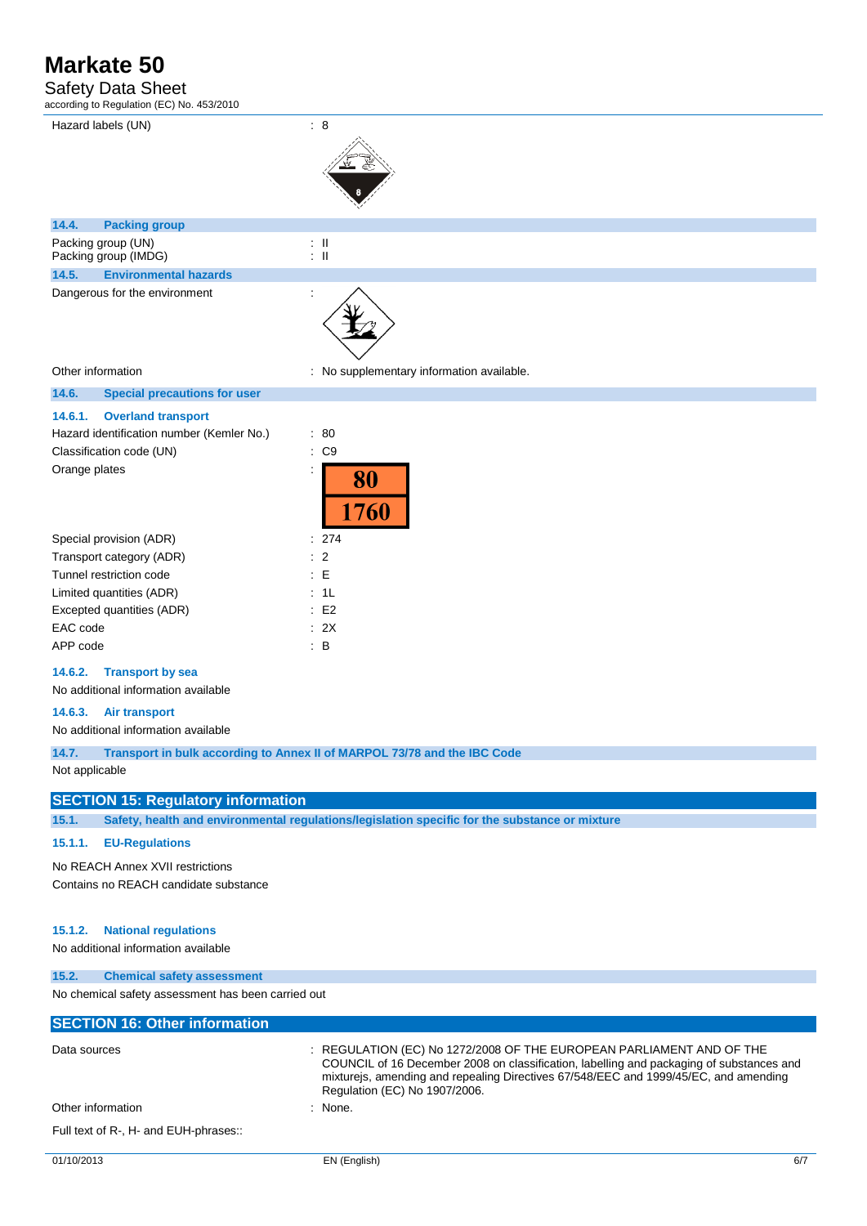### Safety Data Sheet

according to Regulation (EC) No. 453/2010

| Hazard labels (UN)                                                                                                             | : 8                                              |
|--------------------------------------------------------------------------------------------------------------------------------|--------------------------------------------------|
| 14.4.<br><b>Packing group</b>                                                                                                  |                                                  |
| Packing group (UN)<br>Packing group (IMDG)                                                                                     | $\pm$ 11<br>$\pm$ 11                             |
| 14.5.<br><b>Environmental hazards</b>                                                                                          |                                                  |
| Dangerous for the environment                                                                                                  |                                                  |
| Other information                                                                                                              | : No supplementary information available.        |
| 14.6.<br><b>Special precautions for user</b>                                                                                   |                                                  |
| 14.6.1.<br><b>Overland transport</b><br>Hazard identification number (Kemler No.)<br>Classification code (UN)<br>Orange plates | $\therefore 80$<br>$\therefore$ C9<br>80<br>1760 |
| Special provision (ADR)                                                                                                        | 274                                              |

| Special provision (ADR)   | : 27      |
|---------------------------|-----------|
| Transport category (ADR)  | $\cdot$ 2 |
| Tunnel restriction code   | : E       |
| Limited quantities (ADR)  | : 1L      |
| Excepted quantities (ADR) | E2        |
| EAC code                  | : 2X      |
| APP code                  | в         |

#### **14.6.2. Transport by sea**

No additional information available

#### **14.6.3. Air transport**

No additional information available

**14.7. Transport in bulk according to Annex II of MARPOL 73/78 and the IBC Code**

Not applicable

### **SECTION 15: Regulatory information**

**15.1. Safety, health and environmental regulations/legislation specific for the substance or mixture**

### **15.1.1. EU-Regulations**

No REACH Annex XVII restrictions Contains no REACH candidate substance

**15.2. Chemical safety assessment**

### **15.1.2. National regulations**

No additional information available

| No chemical safety assessment has been carried out |                                                                                                                                                                                                                                                                                           |
|----------------------------------------------------|-------------------------------------------------------------------------------------------------------------------------------------------------------------------------------------------------------------------------------------------------------------------------------------------|
| <b>SECTION 16: Other information</b>               |                                                                                                                                                                                                                                                                                           |
| Data sources                                       | : REGULATION (EC) No 1272/2008 OF THE EUROPEAN PARLIAMENT AND OF THE<br>COUNCIL of 16 December 2008 on classification, labelling and packaging of substances and<br>mixturejs, amending and repealing Directives 67/548/EEC and 1999/45/EC, and amending<br>Regulation (EC) No 1907/2006. |
| Other information                                  | $:$ None.                                                                                                                                                                                                                                                                                 |
| Full text of R-, H- and EUH-phrases::              |                                                                                                                                                                                                                                                                                           |